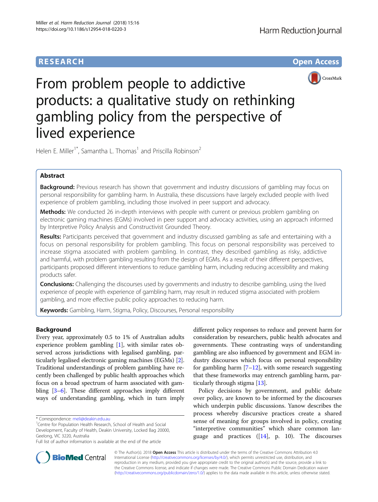# **RESEARCH CHE Open Access**



From problem people to addictive products: a qualitative study on rethinking gambling policy from the perspective of lived experience

Helen E. Miller<sup>1\*</sup>, Samantha L. Thomas<sup>1</sup> and Priscilla Robinson<sup>2</sup>

### Abstract

Background: Previous research has shown that government and industry discussions of gambling may focus on personal responsibility for gambling harm. In Australia, these discussions have largely excluded people with lived experience of problem gambling, including those involved in peer support and advocacy.

Methods: We conducted 26 in-depth interviews with people with current or previous problem gambling on electronic gaming machines (EGMs) involved in peer support and advocacy activities, using an approach informed by Interpretive Policy Analysis and Constructivist Grounded Theory.

Results: Participants perceived that government and industry discussed gambling as safe and entertaining with a focus on personal responsibility for problem gambling. This focus on personal responsibility was perceived to increase stigma associated with problem gambling. In contrast, they described gambling as risky, addictive and harmful, with problem gambling resulting from the design of EGMs. As a result of their different perspectives, participants proposed different interventions to reduce gambling harm, including reducing accessibility and making products safer.

**Conclusions:** Challenging the discourses used by governments and industry to describe gambling, using the lived experience of people with experience of gambling harm, may result in reduced stigma associated with problem gambling, and more effective public policy approaches to reducing harm.

Keywords: Gambling, Harm, Stigma, Policy, Discourses, Personal responsibility

### Background

Every year, approximately 0.5 to 1% of Australian adults experience problem gambling [\[1\]](#page-8-0), with similar rates observed across jurisdictions with legalised gambling, particularly legalised electronic gaming machines (EGMs) [[2](#page-8-0)]. Traditional understandings of problem gambling have recently been challenged by public health approaches which focus on a broad spectrum of harm associated with gambling [[3](#page-8-0)–[6](#page-8-0)]. These different approaches imply different ways of understanding gambling, which in turn imply

<sup>1</sup> Centre for Population Health Research, School of Health and Social Development, Faculty of Health, Deakin University, Locked Bag 20000, Geelong, VIC 3220, Australia

different policy responses to reduce and prevent harm for consideration by researchers, public health advocates and governments. These contrasting ways of understanding gambling are also influenced by government and EGM industry discourses which focus on personal responsibility for gambling harm  $[7–12]$  $[7–12]$  $[7–12]$  $[7–12]$  $[7–12]$ , with some research suggesting that these frameworks may entrench gambling harm, particularly through stigma [\[13\]](#page-8-0).

Policy decisions by government, and public debate over policy, are known to be informed by the discourses which underpin public discussions. Yanow describes the process whereby discursive practices create a shared sense of meaning for groups involved in policy, creating "interpretive communities" which share common language and practices ([\[14\]](#page-8-0), p. 10). The discourses



© The Author(s). 2018 Open Access This article is distributed under the terms of the Creative Commons Attribution 4.0 International License [\(http://creativecommons.org/licenses/by/4.0/](http://creativecommons.org/licenses/by/4.0/)), which permits unrestricted use, distribution, and reproduction in any medium, provided you give appropriate credit to the original author(s) and the source, provide a link to the Creative Commons license, and indicate if changes were made. The Creative Commons Public Domain Dedication waiver [\(http://creativecommons.org/publicdomain/zero/1.0/](http://creativecommons.org/publicdomain/zero/1.0/)) applies to the data made available in this article, unless otherwise stated.

<sup>\*</sup> Correspondence: [meli@deakin.edu.au](mailto:meli@deakin.edu.au) <sup>1</sup>

Full list of author information is available at the end of the article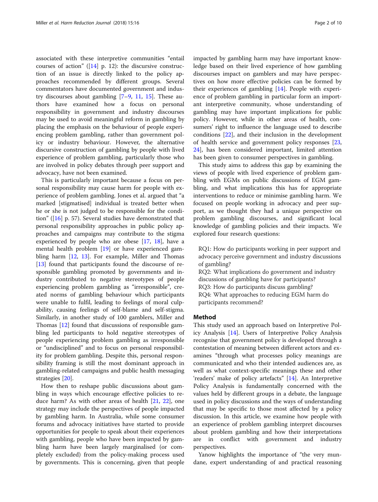associated with these interpretive communities "entail courses of action" ( $[14]$  $[14]$  p. 12): the discursive construction of an issue is directly linked to the policy approaches recommended by different groups. Several commentators have documented government and industry discourses about gambling [[7](#page-8-0)–[9,](#page-8-0) [11,](#page-8-0) [15](#page-8-0)]. These authors have examined how a focus on personal responsibility in government and industry discourses may be used to avoid meaningful reform in gambling by placing the emphasis on the behaviour of people experiencing problem gambling, rather than government policy or industry behaviour. However, the alternative discursive construction of gambling by people with lived experience of problem gambling, particularly those who are involved in policy debates through peer support and advocacy, have not been examined.

This is particularly important because a focus on personal responsibility may cause harm for people with experience of problem gambling. Jones et al. argued that "a marked [stigmatised] individual is treated better when he or she is not judged to be responsible for the condition" ([[16\]](#page-8-0) p. 57). Several studies have demonstrated that personal responsibility approaches in public policy approaches and campaigns may contribute to the stigma experienced by people who are obese [\[17](#page-8-0), [18\]](#page-8-0), have a mental health problem [[19](#page-8-0)] or have experienced gambling harm [\[12](#page-8-0), [13\]](#page-8-0). For example, Miller and Thomas [[13\]](#page-8-0) found that participants found the discourse of responsible gambling promoted by governments and industry contributed to negative stereotypes of people experiencing problem gambling as "irresponsible", created norms of gambling behaviour which participants were unable to fulfil, leading to feelings of moral culpability, causing feelings of self-blame and self-stigma. Similarly, in another study of 100 gamblers, Miller and Thomas [[12](#page-8-0)] found that discussions of responsible gambling led participants to hold negative stereotypes of people experiencing problem gambling as irresponsible or "undisciplined" and to focus on personal responsibility for problem gambling. Despite this, personal responsibility framing is still the most dominant approach in gambling-related campaigns and public health messaging strategies [[20\]](#page-8-0).

How then to reshape public discussions about gambling in ways which encourage effective policies to reduce harm? As with other areas of health [[21](#page-8-0), [22](#page-8-0)], one strategy may include the perspectives of people impacted by gambling harm. In Australia, while some consumer forums and advocacy initiatives have started to provide opportunities for people to speak about their experiences with gambling, people who have been impacted by gambling harm have been largely marginalised (or completely excluded) from the policy-making process used by governments. This is concerning, given that people

impacted by gambling harm may have important knowledge based on their lived experience of how gambling discourses impact on gamblers and may have perspectives on how more effective policies can be formed by their experiences of gambling [[14\]](#page-8-0). People with experience of problem gambling in particular form an important interpretive community, whose understanding of gambling may have important implications for public policy. However, while in other areas of health, consumers' right to influence the language used to describe conditions [[22](#page-8-0)], and their inclusion in the development of health service and government policy responses [[23](#page-8-0), [24\]](#page-8-0), has been considered important, limited attention has been given to consumer perspectives in gambling.

This study aims to address this gap by examining the views of people with lived experience of problem gambling with EGMs on public discussions of EGM gambling, and what implications this has for appropriate interventions to reduce or minimise gambling harm. We focused on people working in advocacy and peer support, as we thought they had a unique perspective on problem gambling discourses, and significant local knowledge of gambling policies and their impacts. We explored four research questions:

- RQ1: How do participants working in peer support and advocacy perceive government and industry discussions of gambling?
- RQ2: What implications do government and industry discussions of gambling have for participants? RQ3: How do participants discuss gambling?
- RQ4: What approaches to reducing EGM harm do participants recommend?

#### Method

This study used an approach based on Interpretive Policy Analysis [[14](#page-8-0)]. Users of Interpretive Policy Analysis recognise that government policy is developed through a contestation of meaning between different actors and examines "through what processes policy meanings are communicated and who their intended audiences are, as well as what context-specific meanings these and other 'readers' make of policy artefacts" [[14](#page-8-0)]. An Interpretive Policy Analysis is fundamentally concerned with the values held by different groups in a debate, the language used in policy discussions and the ways of understanding that may be specific to those most affected by a policy discussion. In this article, we examine how people with an experience of problem gambling interpret discourses about problem gambling and how their interpretations are in conflict with government and industry perspectives.

Yanow highlights the importance of "the very mundane, expert understanding of and practical reasoning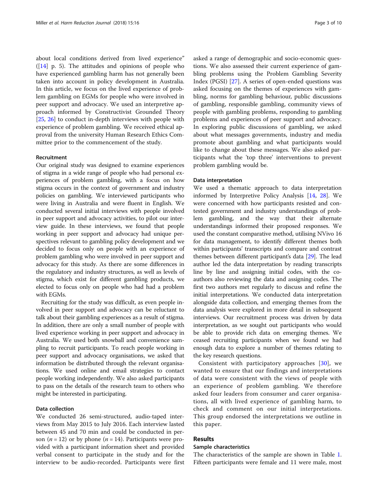about local conditions derived from lived experience"  $([14]$  $([14]$  p. 5). The attitudes and opinions of people who have experienced gambling harm has not generally been taken into account in policy development in Australia. In this article, we focus on the lived experience of problem gambling on EGMs for people who were involved in peer support and advocacy. We used an interpretive approach informed by Constructivist Grounded Theory [[25,](#page-8-0) [26\]](#page-8-0) to conduct in-depth interviews with people with experience of problem gambling. We received ethical approval from the university Human Research Ethics Committee prior to the commencement of the study.

#### Recruitment

Our original study was designed to examine experiences of stigma in a wide range of people who had personal experiences of problem gambling, with a focus on how stigma occurs in the context of government and industry policies on gambling. We interviewed participants who were living in Australia and were fluent in English. We conducted several initial interviews with people involved in peer support and advocacy activities, to pilot our interview guide. In these interviews, we found that people working in peer support and advocacy had unique perspectives relevant to gambling policy development and we decided to focus only on people with an experience of problem gambling who were involved in peer support and advocacy for this study. As there are some differences in the regulatory and industry structures, as well as levels of stigma, which exist for different gambling products, we elected to focus only on people who had had a problem with EGMs.

Recruiting for the study was difficult, as even people involved in peer support and advocacy can be reluctant to talk about their gambling experiences as a result of stigma. In addition, there are only a small number of people with lived experience working in peer support and advocacy in Australia. We used both snowball and convenience sampling to recruit participants. To reach people working in peer support and advocacy organisations, we asked that information be distributed through the relevant organisations. We used online and email strategies to contact people working independently. We also asked participants to pass on the details of the research team to others who might be interested in participating.

#### Data collection

We conducted 26 semi-structured, audio-taped interviews from May 2015 to July 2016. Each interview lasted between 45 and 70 min and could be conducted in person ( $n = 12$ ) or by phone ( $n = 14$ ). Participants were provided with a participant information sheet and provided verbal consent to participate in the study and for the interview to be audio-recorded. Participants were first asked a range of demographic and socio-economic questions. We also assessed their current experience of gambling problems using the Problem Gambling Severity Index (PGSI) [[27\]](#page-8-0). A series of open-ended questions was asked focusing on the themes of experiences with gambling, norms for gambling behaviour, public discussions of gambling, responsible gambling, community views of people with gambling problems, responding to gambling problems and experiences of peer support and advocacy. In exploring public discussions of gambling, we asked about what messages governments, industry and media promote about gambling and what participants would like to change about these messages. We also asked participants what the 'top three' interventions to prevent problem gambling would be.

#### Data interpretation

We used a thematic approach to data interpretation informed by Interpretive Policy Analysis [\[14,](#page-8-0) [28](#page-8-0)]. We were concerned with how participants resisted and contested government and industry understandings of problem gambling, and the way that their alternate understandings informed their proposed responses. We used the constant comparative method, utilising NVivo 16 for data management, to identify different themes both within participants' transcripts and compare and contrast themes between different participant's data [\[29\]](#page-8-0). The lead author led the data interpretation by reading transcripts line by line and assigning initial codes, with the coauthors also reviewing the data and assigning codes. The first two authors met regularly to discuss and refine the initial interpretations. We conducted data interpretation alongside data collection, and emerging themes from the data analysis were explored in more detail in subsequent interviews. Our recruitment process was driven by data interpretation, as we sought out participants who would be able to provide rich data on emerging themes. We ceased recruiting participants when we found we had enough data to explore a number of themes relating to the key research questions.

Consistent with participatory approaches [\[30\]](#page-8-0), we wanted to ensure that our findings and interpretations of data were consistent with the views of people with an experience of problem gambling. We therefore asked four leaders from consumer and carer organisations, all with lived experience of gambling harm, to check and comment on our initial interpretations. This group endorsed the interpretations we outline in this paper.

### Results

### Sample characteristics

The characteristics of the sample are shown in Table [1](#page-3-0). Fifteen participants were female and 11 were male, most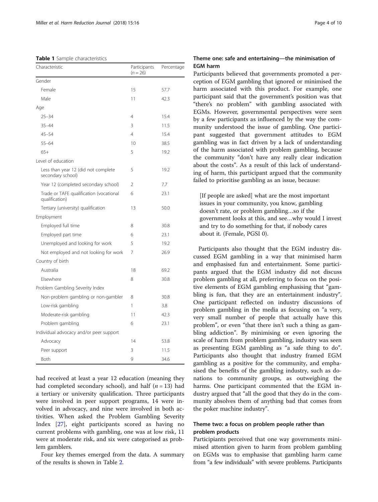<span id="page-3-0"></span>

|  |  | <b>Table 1</b> Sample characteristics |
|--|--|---------------------------------------|
|--|--|---------------------------------------|

| Characteristic                                            | Participants<br>$(n = 26)$ | Percentage |
|-----------------------------------------------------------|----------------------------|------------|
| Gender                                                    |                            |            |
| Female                                                    | 15                         | 57.7       |
| Male                                                      | 11                         | 42.3       |
| Age                                                       |                            |            |
| $25 - 34$                                                 | 4                          | 15.4       |
| $35 - 44$                                                 | 3                          | 11.5       |
| $45 - 54$                                                 | 4                          | 15.4       |
| $55 - 64$                                                 | 10                         | 38.5       |
| $65+$                                                     | 5                          | 19.2       |
| Level of education                                        |                            |            |
| Less than year 12 (did not complete<br>secondary school)  | 5                          | 19.2       |
| Year 12 (completed secondary school)                      | $\mathcal{P}$              | 7.7        |
| Trade or TAFE qualification (vocational<br>qualification) | 6                          | 23.1       |
| Tertiary (university) qualification                       | 13                         | 50.0       |
| Employment                                                |                            |            |
| Employed full time                                        | 8                          | 30.8       |
| Employed part time                                        | 6                          | 23.1       |
| Unemployed and looking for work                           | 5                          | 19.2       |
| Not employed and not looking for work                     | 7                          | 26.9       |
| Country of birth                                          |                            |            |
| Australia                                                 | 18                         | 69.2       |
| Elsewhere                                                 | 8                          | 30.8       |
| Problem Gambling Severity Index                           |                            |            |
| Non-problem gambling or non-gambler                       | 8                          | 30.8       |
| Low-risk gambling                                         | 1                          | 3.8        |
| Moderate-risk gambling                                    | 11                         | 42.3       |
| Problem gambling                                          | 6                          | 23.1       |
| Individual advocacy and/or peer support                   |                            |            |
| Advocacy                                                  | 14                         | 53.8       |
| Peer support                                              | 3                          | 11.5       |
| Both                                                      | 9                          | 34.6       |

had received at least a year 12 education (meaning they had completed secondary school), and half  $(n = 13)$  had a tertiary or university qualification. Three participants were involved in peer support programs, 14 were involved in advocacy, and nine were involved in both activities. When asked the Problem Gambling Severity Index [\[27](#page-8-0)], eight participants scored as having no current problems with gambling, one was at low risk, 11 were at moderate risk, and six were categorised as problem gamblers.

Four key themes emerged from the data. A summary of the results is shown in Table [2.](#page-4-0)

### Theme one: safe and entertaining—the minimisation of EGM harm

Participants believed that governments promoted a perception of EGM gambling that ignored or minimised the harm associated with this product. For example, one participant said that the government's position was that "there's no problem" with gambling associated with EGMs. However, governmental perspectives were seen by a few participants as influenced by the way the community understood the issue of gambling. One participant suggested that government attitudes to EGM gambling was in fact driven by a lack of understanding of the harm associated with problem gambling, because the community "don't have any really clear indication about the costs". As a result of this lack of understanding of harm, this participant argued that the community failed to prioritise gambling as an issue, because:

[If people are asked] what are the most important issues in your community, you know, gambling doesn't rate, or problem gambling…so if the government looks at this, and see…why would I invest and try to do something for that, if nobody cares about it. (Female, PGSI 0).

Participants also thought that the EGM industry discussed EGM gambling in a way that minimised harm and emphasised fun and entertainment. Some participants argued that the EGM industry did not discuss problem gambling at all, preferring to focus on the positive elements of EGM gambling emphasising that "gambling is fun, that they are an entertainment industry". One participant reflected on industry discussions of problem gambling in the media as focusing on "a very, very small number of people that actually have this problem", or even "that there isn't such a thing as gambling addiction". By minimising or even ignoring the scale of harm from problem gambling, industry was seen as presenting EGM gambling as "a safe thing to do". Participants also thought that industry framed EGM gambling as a positive for the community, and emphasised the benefits of the gambling industry, such as donations to community groups, as outweighing the harms. One participant commented that the EGM industry argued that "all the good that they do in the community absolves them of anything bad that comes from the poker machine industry".

### Theme two: a focus on problem people rather than problem products

Participiants perceived that one way governments minimised attention given to harm from problem gambling on EGMs was to emphasise that gambling harm came from "a few individuals" with severe problems. Participants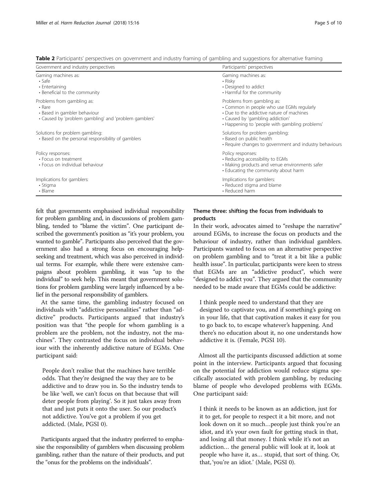<span id="page-4-0"></span>Table 2 Participants' perspectives on government and industry framing of gambling and suggestions for alternative framing

| Government and industry perspectives                                                                                                | Participants' perspectives                                                                                                                                                                                 |
|-------------------------------------------------------------------------------------------------------------------------------------|------------------------------------------------------------------------------------------------------------------------------------------------------------------------------------------------------------|
| Gaming machines as:<br>$\cdot$ Safe<br>• Entertaining<br>• Beneficial to the community                                              | Gaming machines as:<br>• Risky<br>• Designed to addict<br>• Harmful for the community                                                                                                                      |
| Problems from gambling as:<br>$\cdot$ Rare<br>· Based in gambler behaviour<br>• Caused by 'problem gambling' and 'problem gamblers' | Problems from gambling as:<br>• Common in people who use EGMs regularly<br>• Due to the addictive nature of machines<br>• Caused by 'gambling addiction'<br>• Happening to 'people with gambling problems' |
| Solutions for problem gambling:<br>• Based on the personal responsibility of gamblers                                               | Solutions for problem gambling:<br>• Based on public health<br>• Require changes to government and industry behaviours                                                                                     |
| Policy responses:<br>• Focus on treatment<br>• Focus on individual behaviour                                                        | Policy responses:<br>• Reducing accessibility to EGMs<br>• Making products and venue environments safer<br>• Educating the community about harm                                                            |
| Implications for gamblers:<br>• Stigma<br>$\cdot$ Blame                                                                             | Implications for gamblers:<br>• Reduced stigma and blame<br>• Reduced harm                                                                                                                                 |

felt that governments emphasised individual responsibility for problem gambling and, in discussions of problem gambling, tended to "blame the victim". One participant described the government's position as "it's your problem, you wanted to gamble". Participants also perceived that the government also had a strong focus on encouraging helpseeking and treatment, which was also perceived in individual terms. For example, while there were extensive campaigns about problem gambling, it was "up to the individual" to seek help. This meant that government solutions for problem gambling were largely influenced by a belief in the personal responsibility of gamblers.

At the same time, the gambling industry focused on individuals with "addictive personalities" rather than "addictive" products. Participants argued that industry's position was that "the people for whom gambling is a problem are the problem, not the industry, not the machines". They contrasted the focus on individual behaviour with the inherently addictive nature of EGMs. One participant said:

People don't realise that the machines have terrible odds. That they're designed the way they are to be addictive and to draw you in. So the industry tends to be like 'well, we can't focus on that because that will deter people from playing'. So it just takes away from that and just puts it onto the user. So our product's not addictive. You've got a problem if you get addicted. (Male, PGSI 0).

Participants argued that the industry preferred to emphasise the responsibility of gamblers when discussing problem gambling, rather than the nature of their products, and put the "onus for the problems on the individuals".

### Theme three: shifting the focus from individuals to products

In their work, advocates aimed to "reshape the narrative" around EGMs, to increase the focus on products and the behaviour of industry, rather than individual gamblers. Participants wanted to focus on an alternative perspective on problem gambling and to "treat it a bit like a public health issue". In particular, participants were keen to stress that EGMs are an "addictive product", which were "designed to addict you". They argued that the community needed to be made aware that EGMs could be addictive:

I think people need to understand that they are designed to captivate you, and if something's going on in your life, that that captivation makes it easy for you to go back to, to escape whatever's happening. And there's no education about it, no one understands how addictive it is. (Female, PGSI 10).

Almost all the participants discussed addiction at some point in the interview. Participants argued that focusing on the potential for addiction would reduce stigma specifically associated with problem gambling, by reducing blame of people who developed problems with EGMs. One participant said:

I think it needs to be known as an addiction, just for it to get, for people to respect it a bit more, and not look down on it so much…people just think you're an idiot, and it's your own fault for getting stuck in that, and losing all that money. I think while it's not an addiction… the general public will look at it, look at people who have it, as… stupid, that sort of thing. Or, that, 'you're an idiot.' (Male, PGSI 0).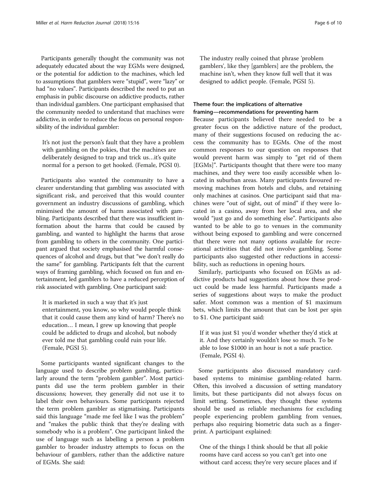Participants generally thought the community was not adequately educated about the way EGMs were designed, or the potential for addiction to the machines, which led to assumptions that gamblers were "stupid", were "lazy" or had "no values". Participants described the need to put an emphasis in public discourse on addictive products, rather than individual gamblers. One participant emphasised that the community needed to understand that machines were addictive, in order to reduce the focus on personal responsibility of the individual gambler:

It's not just the person's fault that they have a problem with gambling on the pokies, that the machines are deliberately designed to trap and trick us…it's quite normal for a person to get hooked. (Female, PGSI 0).

Participants also wanted the community to have a clearer understanding that gambling was associated with significant risk, and perceived that this would counter government an industry discussions of gambling, which minimised the amount of harm associated with gambling. Participants described that there was insufficient information about the harms that could be caused by gambling, and wanted to highlight the harms that arose from gambling to others in the community. One participant argued that society emphasised the harmful consequences of alcohol and drugs, but that "we don't really do the same" for gambling. Participants felt that the current ways of framing gambling, which focused on fun and entertainment, led gamblers to have a reduced perception of risk associated with gambling. One participant said:

It is marketed in such a way that it's just entertainment, you know, so why would people think that it could cause them any kind of harm? There's no education… I mean, I grew up knowing that people could be addicted to drugs and alcohol, but nobody ever told me that gambling could ruin your life. (Female, PGSI 5).

Some participants wanted significant changes to the language used to describe problem gambling, particularly around the term "problem gambler". Most participants did use the term problem gambler in their discussions; however, they generally did not use it to label their own behaviours. Some participants rejected the term problem gambler as stigmatising. Participants said this language "made me feel like I was the problem" and "makes the public think that they're dealing with somebody who is a problem". One participant linked the use of language such as labelling a person a problem gambler to broader industry attempts to focus on the behaviour of gamblers, rather than the addictive nature of EGMs. She said:

The industry really coined that phrase 'problem gamblers', like they [gamblers] are the problem, the machine isn't, when they know full well that it was designed to addict people. (Female, PGSI 5).

### Theme four: the implications of alternative framing—recommendations for preventing harm

Because participants believed there needed to be a greater focus on the addictive nature of the product, many of their suggestions focused on reducing the access the community has to EGMs. One of the most common responses to our question on responses that would prevent harm was simply to "get rid of them [EGMs]". Participants thought that there were too many machines, and they were too easily accessible when located in suburban areas. Many participants favoured removing machines from hotels and clubs, and retaining only machines at casinos. One participant said that machines were "out of sight, out of mind" if they were located in a casino, away from her local area, and she would "just go and do something else". Participants also wanted to be able to go to venues in the community without being exposed to gambling and were concerned that there were not many options available for recreational activities that did not involve gambling. Some participants also suggested other reductions in accessibility, such as reductions in opening hours.

Similarly, participants who focused on EGMs as addictive products had suggestions about how these product could be made less harmful. Participants made a series of suggestions about ways to make the product safer. Most common was a mention of \$1 maximum bets, which limits the amount that can be lost per spin to \$1. One participant said:

If it was just \$1 you'd wonder whether they'd stick at it. And they certainly wouldn't lose so much. To be able to lose \$1000 in an hour is not a safe practice. (Female, PGSI 4).

Some participants also discussed mandatory cardbased systems to minimise gambling-related harm. Often, this involved a discussion of setting mandatory limits, but these participants did not always focus on limit setting. Sometimes, they thought these systems should be used as reliable mechanisms for excluding people experiencing problem gambling from venues, perhaps also requiring biometric data such as a fingerprint. A participant explained:

One of the things I think should be that all pokie rooms have card access so you can't get into one without card access; they're very secure places and if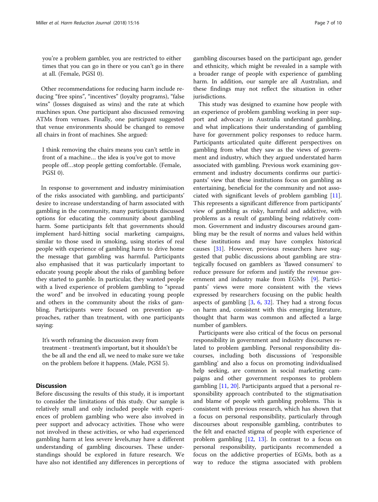you're a problem gambler, you are restricted to either times that you can go in there or you can't go in there at all. (Female, PGSI 0).

Other recommendations for reducing harm include reducing "free spins", "incentives" (loyalty programs), "false wins" (losses disguised as wins) and the rate at which machines spun. One participant also discussed removing ATMs from venues. Finally, one participant suggested that venue environments should be changed to remove all chairs in front of machines. She argued:

I think removing the chairs means you can't settle in front of a machine… the idea is you've got to move people off…stop people getting comfortable. (Female, PGSI 0).

In response to government and industry minimisation of the risks associated with gambling, and participants' desire to increase understanding of harm associated with gambling in the community, many participants discussed options for educating the community about gambling harm. Some participants felt that governments should implement hard-hitting social marketing campaigns, similar to those used in smoking, using stories of real people with experience of gambling harm to drive home the message that gambling was harmful. Participants also emphasised that it was particularly important to educate young people about the risks of gambling before they started to gamble. In particular, they wanted people with a lived experience of problem gambling to "spread the word" and be involved in educating young people and others in the community about the risks of gambling. Participants were focused on prevention approaches, rather than treatment, with one participants saying:

It's worth reframing the discussion away from treatment - treatment's important, but it shouldn't be the be all and the end all, we need to make sure we take on the problem before it happens. (Male, PGSI 5).

### **Discussion**

Before discussing the results of this study, it is important to consider the limitations of this study. Our sample is relatively small and only included people with experiences of problem gambling who were also involved in peer support and advocacy activities. Those who were not involved in these activities, or who had experienced gambling harm at less severe levels,may have a different understanding of gambling discourses. These understandings should be explored in future research. We have also not identified any differences in perceptions of gambling discourses based on the participant age, gender and ethnicity, which might be revealed in a sample with a broader range of people with experience of gambling harm. In addition, our sample are all Australian, and these findings may not reflect the situation in other jurisdictions.

This study was designed to examine how people with an experience of problem gambling working in peer support and advocacy in Australia understand gambling, and what implications their understanding of gambling have for government policy responses to reduce harm. Participants articulated quite different perspectives on gambling from what they saw as the views of government and industry, which they argued understated harm associated with gambling. Previous work examining government and industry documents confirms our participants' view that these institutions focus on gambling as entertaining, beneficial for the community and not associated with significant levels of problem gambling [\[11](#page-8-0)]. This represents a significant difference from participants' view of gambling as risky, harmful and addictive, with problems as a result of gambling being relatively common. Government and industry discourses around gambling may be the result of norms and values held within these institutions and may have complex historical causes [[31\]](#page-8-0). However, previous researchers have suggested that public discussions about gambling are strategically focused on gamblers as 'flawed consumers' to reduce pressure for reform and justify the revenue government and industry make from EGMs [[9](#page-8-0)]. Participants' views were more consistent with the views expressed by researchers focusing on the public health aspects of gambling  $[3, 6, 32]$  $[3, 6, 32]$  $[3, 6, 32]$  $[3, 6, 32]$  $[3, 6, 32]$  $[3, 6, 32]$  $[3, 6, 32]$ . They had a strong focus on harm and, consistent with this emerging literature, thought that harm was common and affected a large number of gamblers.

Participants were also critical of the focus on personal responsibility in government and industry discourses related to problem gambling. Personal responsibility discourses, including both discussions of 'responsible gambling' and also a focus on promoting individualised help seeking, are common in social marketing campaigns and other government responses to problem gambling [\[11](#page-8-0), [20](#page-8-0)]. Participants argued that a personal responsibility approach contributed to the stigmatisation and blame of people with gambling problems. This is consistent with previous research, which has shown that a focus on personal responsibility, particularly through discourses about responsible gambling, contributes to the felt and enacted stigma of people with experience of problem gambling [[12,](#page-8-0) [13\]](#page-8-0). In contrast to a focus on personal responsibility, participants recommended a focus on the addictive properties of EGMs, both as a way to reduce the stigma associated with problem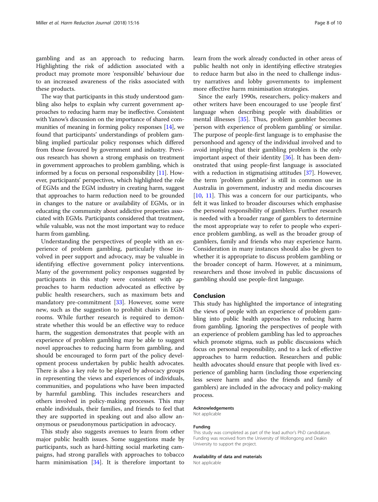gambling and as an approach to reducing harm. Highlighting the risk of addiction associated with a product may promote more 'responsible' behaviour due to an increased awareness of the risks associated with these products.

The way that participants in this study understood gambling also helps to explain why current government approaches to reducing harm may be ineffective. Consistent with Yanow's discussion on the importance of shared communities of meaning in forming policy responses [\[14](#page-8-0)], we found that participants' understandings of problem gambling implied particular policy responses which differed from those favoured by government and industry. Previous research has shown a strong emphasis on treatment in government approaches to problem gambling, which is informed by a focus on personal responsibility [[11](#page-8-0)]. However, participants' perspectives, which highlighted the role of EGMs and the EGM industry in creating harm, suggest that approaches to harm reduction need to be grounded in changes to the nature or availability of EGMs, or in educating the community about addictive properties associated with EGMs. Participants considered that treatment, while valuable, was not the most important way to reduce harm from gambling.

Understanding the perspectives of people with an experience of problem gambling, particularly those involved in peer support and advocacy, may be valuable in identifying effective government policy interventions. Many of the government policy responses suggested by participants in this study were consistent with approaches to harm reduction advocated as effective by public health researchers, such as maximum bets and mandatory pre-commitment [[33\]](#page-8-0). However, some were new, such as the suggestion to prohibit chairs in EGM rooms. While further research is required to demonstrate whether this would be an effective way to reduce harm, the suggestion demonstrates that people with an experience of problem gambling may be able to suggest novel approaches to reducing harm from gambling, and should be encouraged to form part of the policy development process undertaken by public health advocates. There is also a key role to be played by advocacy groups in representing the views and experiences of individuals, communities, and populations who have been impacted by harmful gambling. This includes researchers and others involved in policy-making processes. This may enable individuals, their families, and friends to feel that they are supported in speaking out and also allow anonymous or pseudonymous participation in advocacy.

This study also suggests avenues to learn from other major public health issues. Some suggestions made by participants, such as hard-hitting social marketing campaigns, had strong parallels with approaches to tobacco harm minimisation [\[34\]](#page-9-0). It is therefore important to learn from the work already conducted in other areas of public health not only in identifying effective strategies to reduce harm but also in the need to challenge industry narratives and lobby governments to implement more effective harm minimisation strategies.

Since the early 1990s, researchers, policy-makers and other writers have been encouraged to use 'people first' language when describing people with disabilities or mental illnesses [[35](#page-9-0)]. Thus, problem gambler becomes 'person with experience of problem gambling' or similar. The purpose of people-first language is to emphasise the personhood and agency of the individual involved and to avoid implying that their gambling problem is the only important aspect of their identity [\[36](#page-9-0)]. It has been demonstrated that using people-first language is associated with a reduction in stigmatising attitudes [[37\]](#page-9-0). However, the term 'problem gambler' is still in common use in Australia in government, industry and media discourses [[10,](#page-8-0) [11](#page-8-0)]. This was a concern for our participants, who felt it was linked to broader discourses which emphasise the personal responsibility of gamblers. Further research is needed with a broader range of gamblers to determine the most appropriate way to refer to people who experience problem gambling, as well as the broader group of gamblers, family and friends who may experience harm. Consideration in many instances should also be given to whether it is appropriate to discuss problem gambling or the broader concept of harm. However, at a minimum, researchers and those involved in public discussions of gambling should use people-first language.

#### Conclusion

This study has highlighted the importance of integrating the views of people with an experience of problem gambling into public health approaches to reducing harm from gambling. Ignoring the perspectives of people with an experience of problem gambling has led to approaches which promote stigma, such as public discussions which focus on personal responsibility, and to a lack of effective approaches to harm reduction. Researchers and public health advocates should ensure that people with lived experience of gambling harm (including those experiencing less severe harm and also the friends and family of gamblers) are included in the advocacy and policy-making process.

### Acknowledgements

Not applicable

#### Funding

This study was completed as part of the lead author's PhD candidature. Funding was received from the University of Wollongong and Deakin University to support the project.

#### Availability of data and materials

Not applicable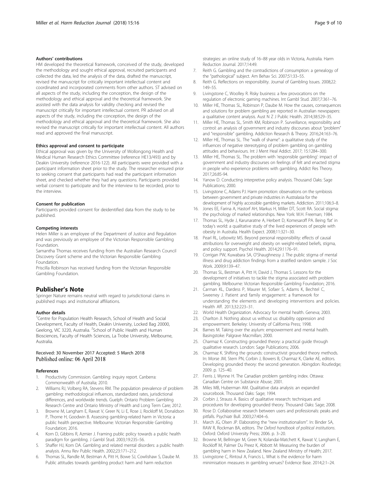#### <span id="page-8-0"></span>Authors' contributions

HM developed the theoretical framework, conceived of the study, developed the methodology and sought ethical approval, recruited participants and collected the data, led the analysis of the data, drafted the manuscript, revised the manuscript for critically important intellectual content and coordinated and incorporated comments from other authors. ST advised on all aspects of the study, including the conception, the design of the methodology and ethical approval and the theoretical framework. She assisted with the data analysis for validity checking and revised the manuscript critically for important intellectual content. PR advised on all aspects of the study, including the conception, the design of the methodology and ethical approval and the theoretical framework. She also revised the manuscript critically for important intellectual content. All authors read and approved the final manuscript.

#### Ethics approval and consent to participate

Ethical approval was given by the University of Wollongong Health and Medical Human Research Ethics Committee (reference HE13/493) and by Deakin University (reference 2016-122). All participants were provided with a participant information sheet prior to the study. The researcher ensured prior to seeking consent that participants had read the participant information sheet, and checked whether they had any questions. Participants provided verbal consent to participate and for the interview to be recorded, prior to the interview.

#### Consent for publication

Participants provided consent for deidentified data from the study to be published.

#### Competing interests

Helen Miller is an employee of the Department of Justice and Regulation and was previously an employee of the Victorian Responsible Gambling Foundation.

Samantha Thomas receives funding from the Australian Research Council Discovery Grant scheme and the Victorian Responsible Gambling Foundation.

Priscilla Robinson has received funding from the Victorian Responsible Gambling Foundation.

#### Publisher's Note

Springer Nature remains neutral with regard to jurisdictional claims in published maps and institutional affiliations.

#### Author details

<sup>1</sup>Centre for Population Health Research, School of Health and Social Development, Faculty of Health, Deakin University, Locked Bag 20000, Geelong, VIC 3220, Australia. <sup>2</sup>School of Public Health and Human Biosciences, Faculty of Health Sciences, La Trobe University, Melbourne, Australia.

#### Received: 30 November 2017 Accepted: 5 March 2018 Published online: 06 April 2018

#### References

- 1. Productivity Commission. Gambling: inquiry report. Canberra: Commonwealth of Australia; 2010.
- 2. Williams RJ, Volberg RA, Stevens RM. The population prevalence of problem gambling: methodological influences, standardized rates, jurisdictional differences, and worldwide trends. Guelph: Ontario Problem Gambling Research Centre and Ontario Ministry of Health and Long Term Care; 2012.
- Browne M, Langham E, Rawat V, Greer N, Li E, Rose J, Rockloff M, Donaldson P, Thorne H, Goodwin B. Assessing gambling-related harm in Victoria: a public health perspective. Melbourne: Victorian Responsible Gambling Foundation; 2016.
- 4. Korn D, Gibbins R, Azmier J. Framing public policy towards a public health paradigm for gambling. J Gambl Stud. 2003;19:235–56.
- 5. Shaffer HJ, Korn DA. Gambling and related mental disorders: a public health analysis. Annu Rev Public Health. 2002;23:171–212.
- 6. Thomas SL, Randle M, Bestman A, Pitt H, Bowe SJ, Cowlishaw S, Daube M. Public attitudes towards gambling product harm and harm reduction
- 7. Reith G. Gambling and the contradictions of consumption: a genealogy of the "pathological" subject. Am Behav Sci. 2007;51:33–55.
- 8. Reith G. Reflections on responsibility. Journal of Gambling Issues. 2008;22: 149–55.
- 9. Livingstone C, Woolley R. Risky business: a few provocations on the regulation of electronic gaming machines. Int Gambl Stud. 2007;7:361–76.
- 10. Miller HE, Thomas SL, Robinson P, Daube M. How the causes, consequences and solutions for problem gambling are reported in Australian newspapers: a qualitative content analysis. Aust N Z J Public Health. 2014;38:529–35.
- 11. Miller HE, Thomas SL, Smith KM, Robinson P. Surveillance, responsibility and control: an analysis of government and industry discourses about "problem" and "responsible" gambling. Addiction Research & Theory. 2016;24:163–76.
- 12. Miller HE, Thomas SL. The "walk of shame": a qualitative study of the influences of negative stereotyping of problem gambling on gambling attitudes and behaviours. Int J Ment Heal Addict. 2017; 15:1284–300.
- 13. Miller HE, Thomas SL. The problem with 'responsible gambling': impact of government and industry discourses on feelings of felt and enacted stigma in people who experience problems with gambling. Addict Res Theory. 2017;26:85-94.
- 14. Yanow D. Conducting interpretive policy analysis. Thousand Oaks: Sage Publications; 2000.
- 15. Livingstone C, Adams PJ. Harm promotion: observations on the symbiosis between government and private industries in Australasia for the development of highly accessible gambling markets. Addiction. 2011;106:3–8.
- 16. Jones EE, Farina A, Hastorf AH, Markus H, Miller DT, Scott RA. Social stigma: the psychology of marked relationships. New York: W.H. Freeman; 1984.
- 17. Thomas SL, Hyde J, Karunaratne A, Herbert D, Komesaroff PA. Being 'fat' in today's world: a qualitative study of the lived experiences of people with obesity in Australia. Health Expect. 2008;11:321–30.
- 18. Pearl RL, Lebowitz MS. Beyond personal responsibility: effects of causal attributions for overweight and obesity on weight-related beliefs, stigma, and policy support. Psychol Health. 2014;29:1176–91.
- 19. Corrigan PW, Kuwabara SA, O'Shaughnessy J. The public stigma of mental illness and drug addiction findings from a stratified random sample. J Soc Work. 2009;9:139–47.
- 20. Thomas SL, Bestman A, Pitt H, David J, Thomas S. Lessons for the development of initiatives to tackle the stigma associated with problem gambling. Melbourne: Victorian Responsible Gambling Foundation; 2016.
- 21. Carman KL, Dardess P, Maurer M, Sofaer S, Adams K, Bechtel C, Sweeney J. Patient and family engagement: a framework for understanding the elements and developing interventions and policies. Health Aff. 2013;32:223–31.
- 22. World Health Organization. Advocacy for mental health. Geneva; 2003.
- 23. Charlton JI. Nothing about us without us: disability oppression and empowerment. Berkeley: University of California Press; 1998.
- 24. Barnes M. Taking over the asylum: empowerment and mental health. Basingstoke: Palgrave Macmillan; 2000.
- 25. Charmaz K. Constructing grounded theory: a practical guide through qualitative research. London: Sage Publications; 2006.
- 26. Charmaz K. Shifting the grounds: constructivist grounded theory methods. In: Morse JM, Stern PN, Corbin J, Bowers B, Charmaz K, Clarke AE, editors. Developing grounded theory: the second generation. Abingdon: Routledge; 2009. p. 125–40.
- 27. Ferris J, Wynne H. The Canadian problem gambling index. Ottawa: Canadian Centre on Substance Abuse; 2001.
- 28. Miles MB, Huberman AM. Qualitative data analysis: an expanded sourcebook. Thousand Oaks: Sage; 1994.
- 29. Corbin J, Strauss A. Basics of qualitative research: techniques and procedures for developing grounded theory. Thousand Oaks: Sage; 2008.
- 30. Rose D. Collaborative research between users and professionals: peaks and pitfalls. Psychiatr Bull. 2003;27:404–6.
- 31. March JG, Olsen JP. Elaborating the "new institutionalism". In: Binder SA, RAW R, Rockman BA, editors. The Oxford handbook of political institutions. Oxford: Oxford University Press; 2006. p. 3–20.
- 32. Browne M, Bellringer M, Greer N, Kolandai-Matchett K, Rawat V, Langham E, Rockloff M, Palmer Du Preez K, Abbott M: Measuring the burden of gambling harm in New Zealand. New Zealand Ministry of Health; 2017.
- 33. Livingstone C, Rintoul A, Francis L. What is the evidence for harm minimisation measures in gambling venues? Evidence Base. 2014;2:1–24.